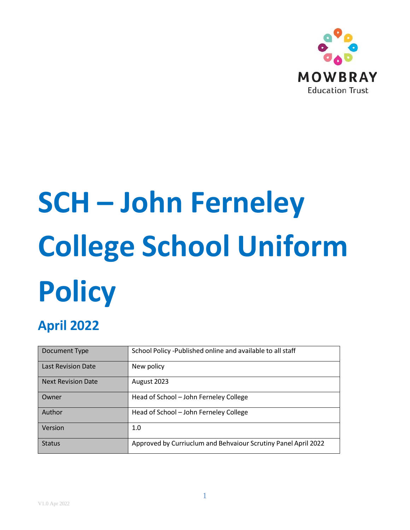

# **SCH – John Ferneley College School Uniform Policy**

# **April 2022**

| Document Type             | School Policy -Published online and available to all staff     |
|---------------------------|----------------------------------------------------------------|
| <b>Last Revision Date</b> | New policy                                                     |
| <b>Next Revision Date</b> | August 2023                                                    |
| Owner                     | Head of School - John Ferneley College                         |
| Author                    | Head of School - John Ferneley College                         |
| Version                   | 1.0                                                            |
| <b>Status</b>             | Approved by Curriuclum and Behvaiour Scrutiny Panel April 2022 |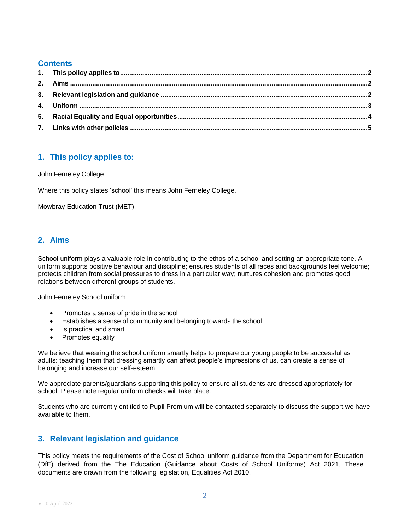## **Contents**

# <span id="page-1-0"></span>**1. This policy applies to:**

John Ferneley College

Where this policy states 'school' this means John Ferneley College.

Mowbray Education Trust (MET).

# <span id="page-1-1"></span>**2. Aims**

School uniform plays a valuable role in contributing to the ethos of a school and setting an appropriate tone. A uniform supports positive behaviour and discipline; ensures students of all races and backgrounds feel welcome; protects children from social pressures to dress in a particular way; nurtures cohesion and promotes good relations between different groups of students.

John Ferneley School uniform:

- Promotes a sense of pride in the school
- Establishes a sense of community and belonging towards the school
- Is practical and smart
- Promotes equality

We believe that wearing the school uniform smartly helps to prepare our young people to be successful as adults: teaching them that dressing smartly can affect people's impressions of us, can create a sense of belonging and increase our self-esteem.

We appreciate parents/guardians supporting this policy to ensure all students are dressed appropriately for school. Please note regular uniform checks will take place.

Students who are currently entitled to Pupil Premium will be contacted separately to discuss the support we have available to them.

# <span id="page-1-2"></span>**3. Relevant legislation and guidance**

This policy meets the requirements of the Cost of School uniform [guidance](https://mowbrayeducation-my.sharepoint.com/personal/sbeasley_mowbrayeducation_org1/Documents/Policies/Cost%20of%20School%20uniform%20guidance) from the Department for Education (DfE) derived from the The Education (Guidance about Costs of School Uniforms) Act 2021, These documents are drawn from the following legislation, Equalities Act 2010.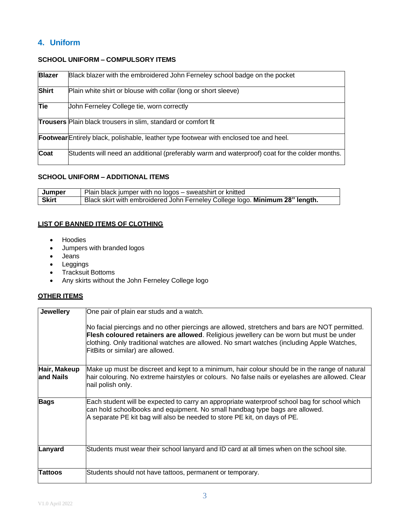# <span id="page-2-0"></span>**4. Uniform**

#### **SCHOOL UNIFORM – COMPULSORY ITEMS**

| <b>Blazer</b> | Black blazer with the embroidered John Ferneley school badge on the pocket                    |
|---------------|-----------------------------------------------------------------------------------------------|
| <b>Shirt</b>  | Plain white shirt or blouse with collar (long or short sleeve)                                |
| Tie           | John Ferneley College tie, worn correctly                                                     |
|               | <b>Trousers</b> Plain black trousers in slim, standard or comfort fit                         |
|               | <b>Footwear</b> Entirely black, polishable, leather type footwear with enclosed toe and heel. |
| Coat          | Students will need an additional (preferably warm and waterproof) coat for the colder months. |

#### **SCHOOL UNIFORM – ADDITIONAL ITEMS**

| Jumper       | Plain black jumper with no logos – sweatshirt or knitted                     |
|--------------|------------------------------------------------------------------------------|
| <b>Skirt</b> | Black skirt with embroidered John Ferneley College logo. Minimum 28" length. |

## **LIST OF BANNED ITEMS OF CLOTHING**

- Hoodies
- Jumpers with branded logos
- Jeans
- Leggings
- Tracksuit Bottoms
- Any skirts without the John Ferneley College logo

#### **OTHER ITEMS**

| <b>Jewellery</b>           | One pair of plain ear studs and a watch.                                                                                                                                                                                                                                                                                    |
|----------------------------|-----------------------------------------------------------------------------------------------------------------------------------------------------------------------------------------------------------------------------------------------------------------------------------------------------------------------------|
|                            | No facial piercings and no other piercings are allowed, stretchers and bars are NOT permitted.<br>Flesh coloured retainers are allowed. Religious jewellery can be worn but must be under<br>clothing. Only traditional watches are allowed. No smart watches (including Apple Watches,<br>FitBits or similar) are allowed. |
| Hair, Makeup<br>land Nails | Make up must be discreet and kept to a minimum, hair colour should be in the range of natural<br>hair colouring. No extreme hairstyles or colours. No false nails or eyelashes are allowed. Clear<br>nail polish only.                                                                                                      |
| <b>Bags</b>                | Each student will be expected to carry an appropriate waterproof school bag for school which<br>can hold schoolbooks and equipment. No small handbag type bags are allowed.<br>A separate PE kit bag will also be needed to store PE kit, on days of PE.                                                                    |
| Lanyard                    | Students must wear their school lanyard and ID card at all times when on the school site.                                                                                                                                                                                                                                   |
| Tattoos                    | Students should not have tattoos, permanent or temporary.                                                                                                                                                                                                                                                                   |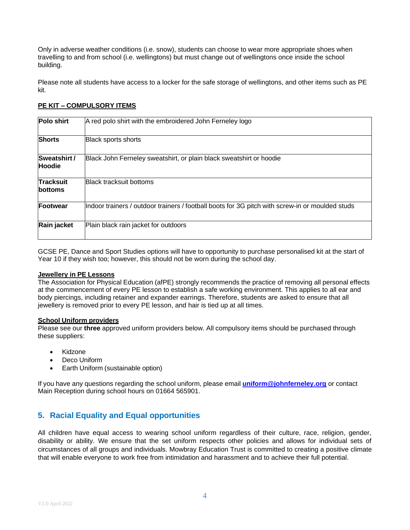Only in adverse weather conditions (i.e. snow), students can choose to wear more appropriate shoes when travelling to and from school (i.e. wellingtons) but must change out of wellingtons once inside the school building.

Please note all students have access to a locker for the safe storage of wellingtons, and other items such as PE kit.

#### **PE KIT – COMPULSORY ITEMS**

| Polo shirt                         | A red polo shirt with the embroidered John Ferneley logo                                        |  |
|------------------------------------|-------------------------------------------------------------------------------------------------|--|
| <b>Shorts</b>                      | Black sports shorts                                                                             |  |
| Sweatshirt /<br>Hoodie             | Black John Ferneley sweatshirt, or plain black sweatshirt or hoodie                             |  |
| <b>Tracksuit</b><br><b>bottoms</b> | <b>Black tracksuit bottoms</b>                                                                  |  |
| Footwear                           | Indoor trainers / outdoor trainers / football boots for 3G pitch with screw-in or moulded studs |  |
| Rain jacket                        | Plain black rain jacket for outdoors                                                            |  |

GCSE PE, Dance and Sport Studies options will have to opportunity to purchase personalised kit at the start of Year 10 if they wish too; however, this should not be worn during the school day.

#### **Jewellery in PE Lessons**

The Association for Physical Education (afPE) strongly recommends the practice of removing all personal effects at the commencement of every PE lesson to establish a safe working environment. This applies to all ear and body piercings, including retainer and expander earrings. Therefore, students are asked to ensure that all jewellery is removed prior to every PE lesson, and hair is tied up at all times.

#### **School Uniform providers**

Please see our **three** approved uniform providers below. All compulsory items should be purchased through these suppliers:

- Kidzone
- Deco Uniform
- Earth Uniform (sustainable option)

If you have any questions regarding the school uniform, please email **[uniform@johnferneley.org](mailto:uniform@johnferneley.org)** or contact Main Reception during school hours on 01664 565901.

#### <span id="page-3-0"></span>**5. Racial Equality and Equal opportunities**

All children have equal access to wearing school uniform regardless of their culture, race, religion, gender, disability or ability. We ensure that the set uniform respects other policies and allows for individual sets of circumstances of all groups and individuals. Mowbray Education Trust is committed to creating a positive climate that will enable everyone to work free from intimidation and harassment and to achieve their full potential.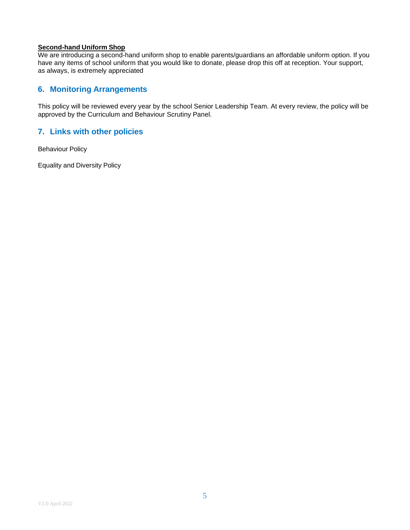#### **Second-hand Uniform Shop**

We are introducing a second-hand uniform shop to enable parents/guardians an affordable uniform option. If you have any items of school uniform that you would like to donate, please drop this off at reception. Your support, as always, is extremely appreciated

## **6. Monitoring Arrangements**

This policy will be reviewed every year by the school Senior Leadership Team. At every review, the policy will be approved by the Curriculum and Behaviour Scrutiny Panel.

## **7. Links with other policies**

Behaviour Policy

Equality and Diversity Policy